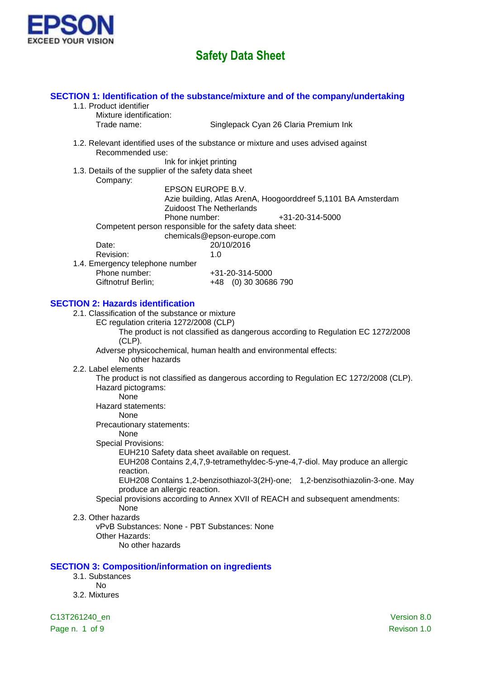

### **SECTION 1: Identification of the substance/mixture and of the company/undertaking** 1.1. Product identifier Mixture identification: Trade name: Singlepack Cyan 26 Claria Premium Ink 1.2. Relevant identified uses of the substance or mixture and uses advised against Recommended use: Ink for inkjet printing 1.3. Details of the supplier of the safety data sheet Company: EPSON EUROPE B.V. Azie building, Atlas ArenA, Hoogoorddreef 5,1101 BA Amsterdam Zuidoost The Netherlands Phone number:  $+31-20-314-5000$ Competent person responsible for the safety data sheet: chemicals@epson-europe.com Date: 20/10/2016 Revision: 1.0 1.4. Emergency telephone number Phone number: +31-20-314-5000 Giftnotruf Berlin; +48 (0) 30 30686 790 **SECTION 2: Hazards identification** 2.1. Classification of the substance or mixture EC regulation criteria 1272/2008 (CLP) The product is not classified as dangerous according to Regulation EC 1272/2008 (CLP). Adverse physicochemical, human health and environmental effects: No other hazards 2.2. Label elements The product is not classified as dangerous according to Regulation EC 1272/2008 (CLP).

Hazard pictograms:

None Hazard statements:

None

Precautionary statements:

### None

Special Provisions:

EUH210 Safety data sheet available on request.

EUH208 Contains 2,4,7,9-tetramethyldec-5-yne-4,7-diol. May produce an allergic reaction.

EUH208 Contains 1,2-benzisothiazol-3(2H)-one; 1,2-benzisothiazolin-3-one. May produce an allergic reaction.

### Special provisions according to Annex XVII of REACH and subsequent amendments: None

#### 2.3. Other hazards

vPvB Substances: None - PBT Substances: None Other Hazards: No other hazards

### **SECTION 3: Composition/information on ingredients**

- 3.1. Substances
	- No
- 3.2. Mixtures

C13T261240\_en Version 8.0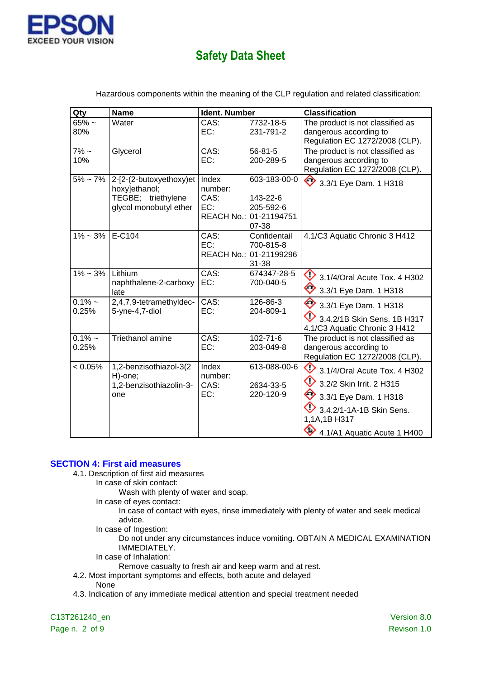

| Qty                | <b>Name</b>                                                                                               | Ident. Number                   |                                                                          | <b>Classification</b>                                                                                                                                                                     |
|--------------------|-----------------------------------------------------------------------------------------------------------|---------------------------------|--------------------------------------------------------------------------|-------------------------------------------------------------------------------------------------------------------------------------------------------------------------------------------|
| $65%$ ~<br>80%     | Water                                                                                                     | CAS:<br>EC:                     | 7732-18-5<br>231-791-2                                                   | The product is not classified as<br>dangerous according to<br>Regulation EC 1272/2008 (CLP).                                                                                              |
| $7\%$ ~<br>10%     | Glycerol                                                                                                  | CAS:<br>EC:                     | $56 - 81 - 5$<br>200-289-5                                               | The product is not classified as<br>dangerous according to<br>Regulation EC 1272/2008 (CLP).                                                                                              |
|                    | $5\% \sim 7\%$   2-[2-(2-butoxyethoxy)et<br>hoxy]ethanol;<br>TEGBE; triethylene<br>glycol monobutyl ether | Index<br>number:<br>CAS:<br>EC: | 603-183-00-0<br>143-22-6<br>205-592-6<br>REACH No.: 01-21194751<br>07-38 | ◇<br>3.3/1 Eye Dam. 1 H318                                                                                                                                                                |
| $1\% - 3\%$        | E-C104                                                                                                    | CAS:<br>EC:                     | Confidentail<br>700-815-8<br>REACH No.: 01-21199296<br>31-38             | 4.1/C3 Aquatic Chronic 3 H412                                                                                                                                                             |
| $1\% - 3\%$        | Lithium<br>naphthalene-2-carboxy<br>late                                                                  | CAS:<br>EC:                     | 674347-28-5<br>700-040-5                                                 | $\bullet$ 3.1/4/Oral Acute Tox. 4 H302<br>3.3/1 Eye Dam. 1 H318                                                                                                                           |
| $0.1\%$ ~<br>0.25% | 2,4,7,9-tetramethyldec-<br>5-yne-4,7-diol                                                                 | CAS:<br>EC:                     | 126-86-3<br>204-809-1                                                    | ◇<br>3.3/1 Eye Dam. 1 H318<br>3.4.2/1B Skin Sens. 1B H317<br>4.1/C3 Aquatic Chronic 3 H412                                                                                                |
| $0.1\%$ ~<br>0.25% | Triethanol amine                                                                                          | CAS:<br>EC:                     | 102-71-6<br>203-049-8                                                    | The product is not classified as<br>dangerous according to<br>Regulation EC 1272/2008 (CLP).                                                                                              |
| < 0.05%            | 1,2-benzisothiazol-3(2<br>H)-one;<br>1,2-benzisothiazolin-3-<br>one                                       | Index<br>number:<br>CAS:<br>EC: | 613-088-00-6<br>2634-33-5<br>220-120-9                                   | $\Diamond$<br>3.1/4/Oral Acute Tox. 4 H302<br>♦<br>3.2/2 Skin Irrit. 2 H315<br>◇<br>3.3/1 Eye Dam. 1 H318<br>3.4.2/1-1A-1B Skin Sens.<br>1,1A,1B H317<br>◇<br>4.1/A1 Aquatic Acute 1 H400 |

Hazardous components within the meaning of the CLP regulation and related classification:

### **SECTION 4: First aid measures**

- 4.1. Description of first aid measures
	- In case of skin contact:
		- Wash with plenty of water and soap.
		- In case of eyes contact:
			- In case of contact with eyes, rinse immediately with plenty of water and seek medical advice.
		- In case of Ingestion:

Do not under any circumstances induce vomiting. OBTAIN A MEDICAL EXAMINATION IMMEDIATELY.

- In case of Inhalation:
	- Remove casualty to fresh air and keep warm and at rest.
- 4.2. Most important symptoms and effects, both acute and delayed
	- None
- 4.3. Indication of any immediate medical attention and special treatment needed

C13T261240\_en Version 8.0 Page n. 2 of 9 Revison 1.0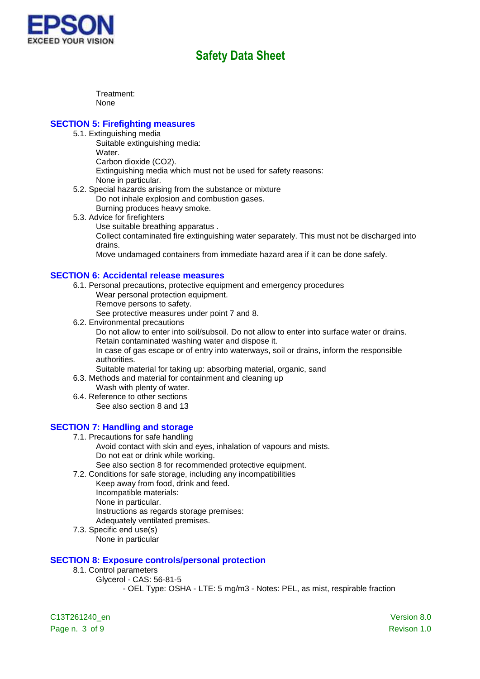

Treatment: None

### **SECTION 5: Firefighting measures**

- 5.1. Extinguishing media
	- Suitable extinguishing media:
		- Water.
		- Carbon dioxide (CO2).
		- Extinguishing media which must not be used for safety reasons: None in particular.
- 5.2. Special hazards arising from the substance or mixture Do not inhale explosion and combustion gases. Burning produces heavy smoke.
- 5.3. Advice for firefighters
	- Use suitable breathing apparatus .

Collect contaminated fire extinguishing water separately. This must not be discharged into drains.

Move undamaged containers from immediate hazard area if it can be done safely.

### **SECTION 6: Accidental release measures**

- 6.1. Personal precautions, protective equipment and emergency procedures
	- Wear personal protection equipment.
	- Remove persons to safety.

See protective measures under point 7 and 8.

- 6.2. Environmental precautions Do not allow to enter into soil/subsoil. Do not allow to enter into surface water or drains. Retain contaminated washing water and dispose it. In case of gas escape or of entry into waterways, soil or drains, inform the responsible authorities.
- Suitable material for taking up: absorbing material, organic, sand

6.3. Methods and material for containment and cleaning up

- Wash with plenty of water. 6.4. Reference to other sections
	- See also section 8 and 13

### **SECTION 7: Handling and storage**

- 7.1. Precautions for safe handling
	- Avoid contact with skin and eyes, inhalation of vapours and mists. Do not eat or drink while working.
	- See also section 8 for recommended protective equipment.
- 7.2. Conditions for safe storage, including any incompatibilities Keep away from food, drink and feed. Incompatible materials: None in particular. Instructions as regards storage premises: Adequately ventilated premises.
- 7.3. Specific end use(s) None in particular

### **SECTION 8: Exposure controls/personal protection**

- 8.1. Control parameters
	- Glycerol CAS: 56-81-5

- OEL Type: OSHA - LTE: 5 mg/m3 - Notes: PEL, as mist, respirable fraction

C13T261240\_en Version 8.0 Page n. 3 of 9 Revison 1.0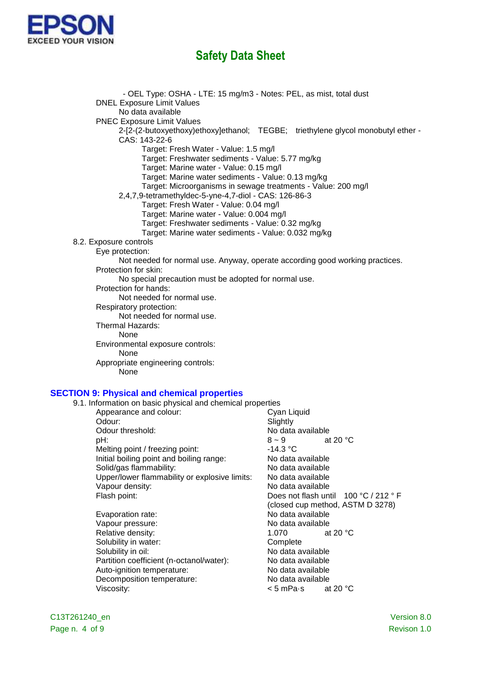

- OEL Type: OSHA - LTE: 15 mg/m3 - Notes: PEL, as mist, total dust DNEL Exposure Limit Values No data available PNEC Exposure Limit Values 2-[2-(2-butoxyethoxy)ethoxy]ethanol; TEGBE; triethylene glycol monobutyl ether - CAS: 143-22-6 Target: Fresh Water - Value: 1.5 mg/l Target: Freshwater sediments - Value: 5.77 mg/kg Target: Marine water - Value: 0.15 mg/l Target: Marine water sediments - Value: 0.13 mg/kg Target: Microorganisms in sewage treatments - Value: 200 mg/l 2,4,7,9-tetramethyldec-5-yne-4,7-diol - CAS: 126-86-3 Target: Fresh Water - Value: 0.04 mg/l Target: Marine water - Value: 0.004 mg/l Target: Freshwater sediments - Value: 0.32 mg/kg Target: Marine water sediments - Value: 0.032 mg/kg 8.2. Exposure controls Eye protection: Not needed for normal use. Anyway, operate according good working practices. Protection for skin: No special precaution must be adopted for normal use. Protection for hands: Not needed for normal use. Respiratory protection: Not needed for normal use. Thermal Hazards: None Environmental exposure controls: None Appropriate engineering controls: None **SECTION 9: Physical and chemical properties** 9.1. Information on basic physical and chemical properties Appearance and colour: Cyan Liquid Odour: Slightly

Odour threshold:  $\begin{array}{ccc}\n\bullet & \bullet & \bullet \\
\bullet & \bullet & \bullet \\
\bullet & \bullet & \bullet \\
\bullet & \bullet & \bullet\n\end{array}$ pH:  $8\sim9$  at 20 °C Melting point / freezing point:<br>
lnitial boiling point and boiling range:<br>
No data available Initial boiling point and boiling range: Solid/gas flammability: No data available Upper/lower flammability or explosive limits: No data available Vapour density: No data available Flash point: Does not flash until 100 °C / 212 ° F

Evaporation rate: No data available Vapour pressure: Vapour pressure: No data available Relative density:  $1.070$  at 20 °C Solubility in water: Complete Solubility in oil: No data available Partition coefficient (n-octanol/water): No data available Auto-ignition temperature: No data available Decomposition temperature: No data available Viscosity:  $\lt$  5 mPa·s at 20 °C

(closed cup method, ASTM D 3278)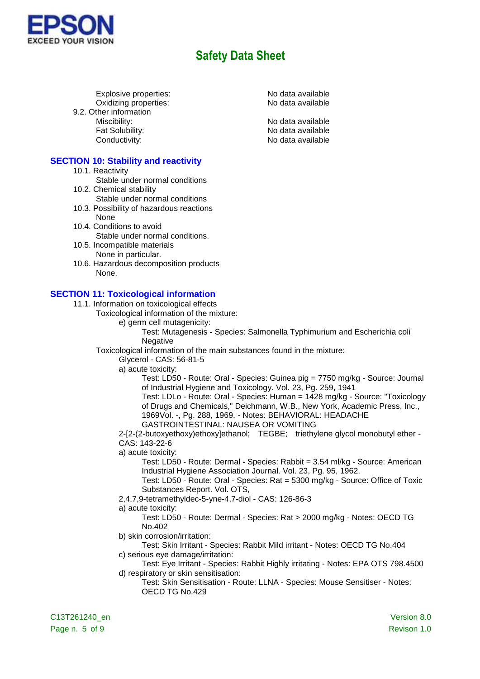

Explosive properties:<br>
Oxidizing properties:<br>
Oxidizing properties:<br>
No data available Oxidizing properties: 9.2. Other information Miscibility: No data available Fat Solubility: The Contract of the North Modata available Conductivity: Conductivity:

### **SECTION 10: Stability and reactivity**

- 10.1. Reactivity
	- Stable under normal conditions
- 10.2. Chemical stability
- Stable under normal conditions
- 10.3. Possibility of hazardous reactions None
- 10.4. Conditions to avoid Stable under normal conditions.
- 10.5. Incompatible materials None in particular.
- 10.6. Hazardous decomposition products None.

### **SECTION 11: Toxicological information**

- 11.1. Information on toxicological effects
	- Toxicological information of the mixture:
		- e) germ cell mutagenicity:

Test: Mutagenesis - Species: Salmonella Typhimurium and Escherichia coli **Negative** 

Toxicological information of the main substances found in the mixture:

Glycerol - CAS: 56-81-5

a) acute toxicity:

Test: LD50 - Route: Oral - Species: Guinea pig = 7750 mg/kg - Source: Journal of Industrial Hygiene and Toxicology. Vol. 23, Pg. 259, 1941

Test: LDLo - Route: Oral - Species: Human = 1428 mg/kg - Source: "Toxicology of Drugs and Chemicals," Deichmann, W.B., New York, Academic Press, Inc., 1969Vol. -, Pg. 288, 1969. - Notes: BEHAVIORAL: HEADACHE

GASTROINTESTINAL: NAUSEA OR VOMITING

2-[2-(2-butoxyethoxy)ethoxy]ethanol; TEGBE; triethylene glycol monobutyl ether - CAS: 143-22-6

a) acute toxicity:

Test: LD50 - Route: Dermal - Species: Rabbit = 3.54 ml/kg - Source: American Industrial Hygiene Association Journal. Vol. 23, Pg. 95, 1962.

Test: LD50 - Route: Oral - Species: Rat = 5300 mg/kg - Source: Office of Toxic Substances Report. Vol. OTS,

2,4,7,9-tetramethyldec-5-yne-4,7-diol - CAS: 126-86-3

#### a) acute toxicity:

Test: LD50 - Route: Dermal - Species: Rat > 2000 mg/kg - Notes: OECD TG No.402

b) skin corrosion/irritation:

Test: Skin Irritant - Species: Rabbit Mild irritant - Notes: OECD TG No.404 c) serious eye damage/irritation:

- Test: Eye Irritant Species: Rabbit Highly irritating Notes: EPA OTS 798.4500 d) respiratory or skin sensitisation:
	- Test: Skin Sensitisation Route: LLNA Species: Mouse Sensitiser Notes: OECD TG No.429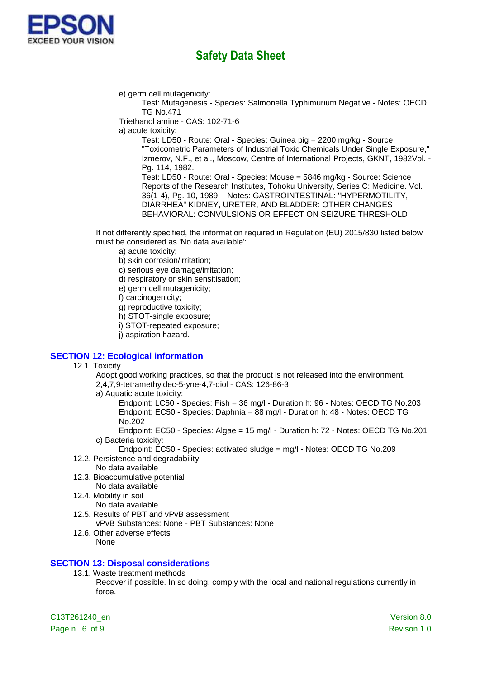

e) germ cell mutagenicity:

Test: Mutagenesis - Species: Salmonella Typhimurium Negative - Notes: OECD TG No.471

Triethanol amine - CAS: 102-71-6

a) acute toxicity:

Test: LD50 - Route: Oral - Species: Guinea pig = 2200 mg/kg - Source: "Toxicometric Parameters of Industrial Toxic Chemicals Under Single Exposure," Izmerov, N.F., et al., Moscow, Centre of International Projects, GKNT, 1982Vol. -, Pg. 114, 1982.

Test: LD50 - Route: Oral - Species: Mouse = 5846 mg/kg - Source: Science Reports of the Research Institutes, Tohoku University, Series C: Medicine. Vol. 36(1-4), Pg. 10, 1989. - Notes: GASTROINTESTINAL: "HYPERMOTILITY, DIARRHEA" KIDNEY, URETER, AND BLADDER: OTHER CHANGES BEHAVIORAL: CONVULSIONS OR EFFECT ON SEIZURE THRESHOLD

If not differently specified, the information required in Regulation (EU) 2015/830 listed below must be considered as 'No data available':

a) acute toxicity;

b) skin corrosion/irritation;

c) serious eye damage/irritation;

d) respiratory or skin sensitisation;

e) germ cell mutagenicity;

f) carcinogenicity;

g) reproductive toxicity;

h) STOT-single exposure;

i) STOT-repeated exposure;

j) aspiration hazard.

### **SECTION 12: Ecological information**

12.1. Toxicity

Adopt good working practices, so that the product is not released into the environment. 2,4,7,9-tetramethyldec-5-yne-4,7-diol - CAS: 126-86-3

a) Aquatic acute toxicity:

Endpoint: LC50 - Species: Fish = 36 mg/l - Duration h: 96 - Notes: OECD TG No.203 Endpoint: EC50 - Species: Daphnia = 88 mg/l - Duration h: 48 - Notes: OECD TG No.202

Endpoint: EC50 - Species: Algae = 15 mg/l - Duration h: 72 - Notes: OECD TG No.201 c) Bacteria toxicity:

Endpoint: EC50 - Species: activated sludge = mg/l - Notes: OECD TG No.209

- 12.2. Persistence and degradability No data available
- 12.3. Bioaccumulative potential

No data available

12.4. Mobility in soil

No data available

12.5. Results of PBT and vPvB assessment

vPvB Substances: None - PBT Substances: None

12.6. Other adverse effects None

### **SECTION 13: Disposal considerations**

13.1. Waste treatment methods

Recover if possible. In so doing, comply with the local and national regulations currently in force.

C13T261240\_en Version 8.0 Page n. 6 of 9 Revison 1.0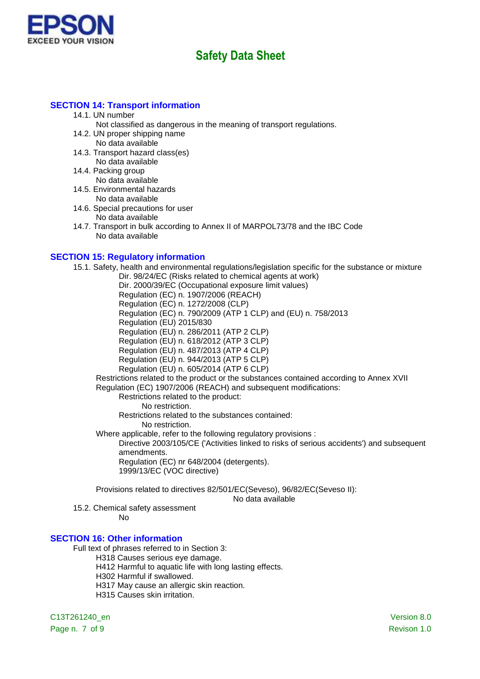

### **SECTION 14: Transport information**

- 14.1. UN number
	- Not classified as dangerous in the meaning of transport regulations.
- 14.2. UN proper shipping name
	- No data available
- 14.3. Transport hazard class(es) No data available
- 14.4. Packing group
	- No data available
- 14.5. Environmental hazards No data available
- 14.6. Special precautions for user No data available
- 14.7. Transport in bulk according to Annex II of MARPOL73/78 and the IBC Code No data available

### **SECTION 15: Regulatory information**

15.1. Safety, health and environmental regulations/legislation specific for the substance or mixture

Dir. 98/24/EC (Risks related to chemical agents at work) Dir. 2000/39/EC (Occupational exposure limit values) Regulation (EC) n. 1907/2006 (REACH) Regulation (EC) n. 1272/2008 (CLP) Regulation (EC) n. 790/2009 (ATP 1 CLP) and (EU) n. 758/2013 Regulation (EU) 2015/830 Regulation (EU) n. 286/2011 (ATP 2 CLP) Regulation (EU) n. 618/2012 (ATP 3 CLP) Regulation (EU) n. 487/2013 (ATP 4 CLP) Regulation (EU) n. 944/2013 (ATP 5 CLP) Regulation (EU) n. 605/2014 (ATP 6 CLP) Restrictions related to the product or the substances contained according to Annex XVII Regulation (EC) 1907/2006 (REACH) and subsequent modifications: Restrictions related to the product: No restriction. Restrictions related to the substances contained: No restriction.

Where applicable, refer to the following regulatory provisions :

Directive 2003/105/CE ('Activities linked to risks of serious accidents') and subsequent amendments. Regulation (EC) nr 648/2004 (detergents). 1999/13/EC (VOC directive)

Provisions related to directives 82/501/EC(Seveso), 96/82/EC(Seveso II):

No data available

15.2. Chemical safety assessment

No

### **SECTION 16: Other information**

Full text of phrases referred to in Section 3:

H318 Causes serious eye damage.

H412 Harmful to aquatic life with long lasting effects.

- H302 Harmful if swallowed.
- H317 May cause an allergic skin reaction.
- H315 Causes skin irritation.

C13T261240\_en Version 8.0

Page n. 7 of 9 Revison 1.0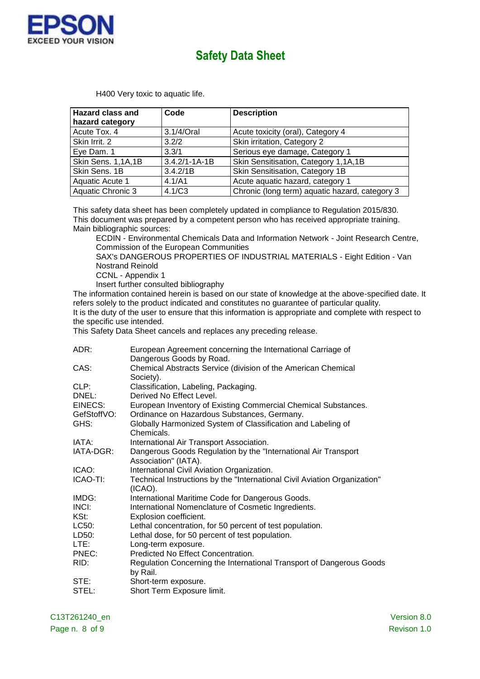

| <b>Hazard class and</b> | Code                | <b>Description</b>                             |  |
|-------------------------|---------------------|------------------------------------------------|--|
| hazard category         |                     |                                                |  |
| Acute Tox. 4            | 3.1/4/Oral          | Acute toxicity (oral), Category 4              |  |
| Skin Irrit. 2           | 3.2/2               | Skin irritation, Category 2                    |  |
| Eye Dam. 1              | 3.3/1               | Serious eye damage, Category 1                 |  |
| Skin Sens. 1,1A,1B      | $3.4.2/1 - 1A - 1B$ | Skin Sensitisation, Category 1,1A,1B           |  |
| Skin Sens. 1B           | 3.4.2/1B            | Skin Sensitisation, Category 1B                |  |
| Aquatic Acute 1         | 4.1/A1              | Acute aquatic hazard, category 1               |  |
| Aquatic Chronic 3       | 4.1/C3              | Chronic (long term) aquatic hazard, category 3 |  |

H400 Very toxic to aquatic life.

This safety data sheet has been completely updated in compliance to Regulation 2015/830. This document was prepared by a competent person who has received appropriate training. Main bibliographic sources:

ECDIN - Environmental Chemicals Data and Information Network - Joint Research Centre, Commission of the European Communities

SAX's DANGEROUS PROPERTIES OF INDUSTRIAL MATERIALS - Eight Edition - Van Nostrand Reinold

CCNL - Appendix 1

Insert further consulted bibliography

The information contained herein is based on our state of knowledge at the above-specified date. It refers solely to the product indicated and constitutes no guarantee of particular quality. It is the duty of the user to ensure that this information is appropriate and complete with respect to the specific use intended.

This Safety Data Sheet cancels and replaces any preceding release.

| ADR:        | European Agreement concerning the International Carriage of<br>Dangerous Goods by Road. |
|-------------|-----------------------------------------------------------------------------------------|
| CAS:        | Chemical Abstracts Service (division of the American Chemical<br>Society).              |
| CLP:        | Classification, Labeling, Packaging.                                                    |
| DNEL:       | Derived No Effect Level.                                                                |
| EINECS:     | European Inventory of Existing Commercial Chemical Substances.                          |
| GefStoffVO: | Ordinance on Hazardous Substances, Germany.                                             |
| GHS:        | Globally Harmonized System of Classification and Labeling of                            |
|             | Chemicals.                                                                              |
| IATA:       | International Air Transport Association.                                                |
| IATA-DGR:   | Dangerous Goods Regulation by the "International Air Transport"<br>Association" (IATA). |
| ICAO:       | International Civil Aviation Organization.                                              |
| ICAO-TI:    | Technical Instructions by the "International Civil Aviation Organization"<br>$(ICAO)$ . |
| IMDG:       | International Maritime Code for Dangerous Goods.                                        |
| INCI:       | International Nomenclature of Cosmetic Ingredients.                                     |
| KSt:        | Explosion coefficient.                                                                  |
| LC50:       | Lethal concentration, for 50 percent of test population.                                |
| LD50:       | Lethal dose, for 50 percent of test population.                                         |
| LTE:        | Long-term exposure.                                                                     |
| PNEC:       | Predicted No Effect Concentration.                                                      |
| RID:        | Regulation Concerning the International Transport of Dangerous Goods<br>by Rail.        |
| STE:        | Short-term exposure.                                                                    |
| STEL:       | Short Term Exposure limit.                                                              |
|             |                                                                                         |